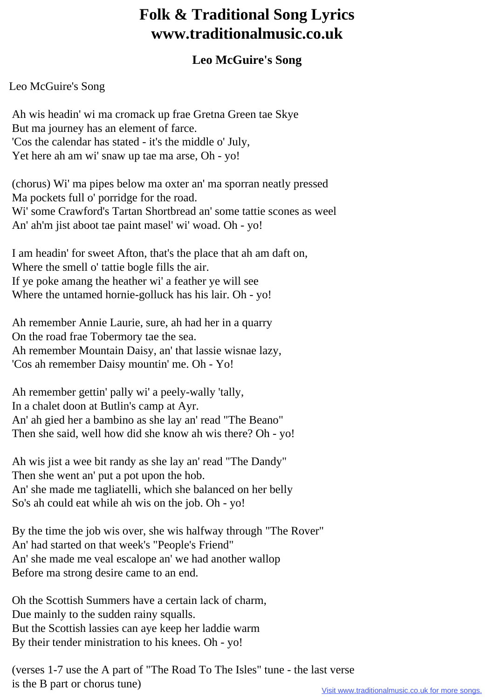## **Folk & Traditional Song Lyrics www.traditionalmusic.co.uk**

## **Leo McGuire's Song**

## Leo McGuire's Song

 Ah wis headin' wi ma cromack up frae Gretna Green tae Skye But ma journey has an element of farce. 'Cos the calendar has stated - it's the middle o' July, Yet here ah am wi' snaw up tae ma arse, Oh - yo!

 (chorus) Wi' ma pipes below ma oxter an' ma sporran neatly pressed Ma pockets full o' porridge for the road. Wi' some Crawford's Tartan Shortbread an' some tattie scones as weel An' ah'm jist aboot tae paint masel' wi' woad. Oh - yo!

 I am headin' for sweet Afton, that's the place that ah am daft on, Where the smell o' tattie bogle fills the air. If ye poke amang the heather wi' a feather ye will see Where the untamed hornie-golluck has his lair. Oh - yo!

 Ah remember Annie Laurie, sure, ah had her in a quarry On the road frae Tobermory tae the sea. Ah remember Mountain Daisy, an' that lassie wisnae lazy, 'Cos ah remember Daisy mountin' me. Oh - Yo!

 Ah remember gettin' pally wi' a peely-wally 'tally, In a chalet doon at Butlin's camp at Ayr. An' ah gied her a bambino as she lay an' read "The Beano" Then she said, well how did she know ah wis there? Oh - yo!

 Ah wis jist a wee bit randy as she lay an' read "The Dandy" Then she went an' put a pot upon the hob. An' she made me tagliatelli, which she balanced on her belly So's ah could eat while ah wis on the job. Oh - yo!

 By the time the job wis over, she wis halfway through "The Rover" An' had started on that week's "People's Friend" An' she made me veal escalope an' we had another wallop Before ma strong desire came to an end.

 Oh the Scottish Summers have a certain lack of charm, Due mainly to the sudden rainy squalls. But the Scottish lassies can aye keep her laddie warm By their tender ministration to his knees. Oh - yo!

 (verses 1-7 use the A part of "The Road To The Isles" tune - the last verse is the B part or chorus tune)